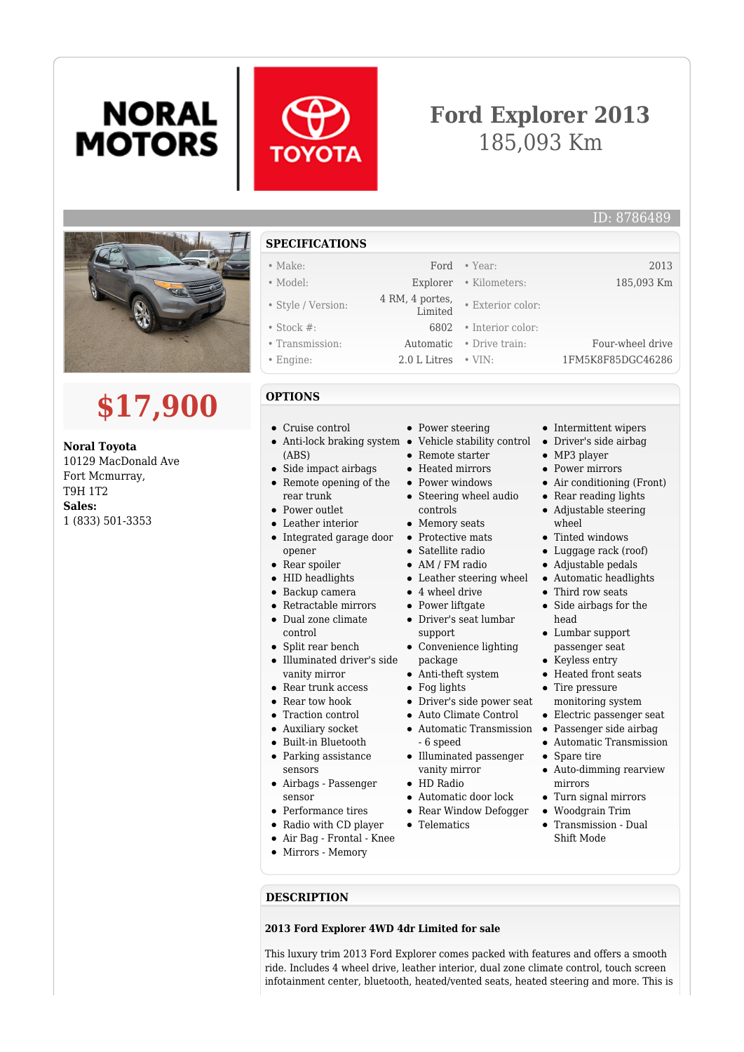# **NORAL MOTORS**



## **Ford Explorer 2013** 185,093 Km



# **\$17,900**

**Noral Toyota** 10129 MacDonald Ave Fort Mcmurray, T9H 1T2 **Sales:** 1 (833) 501-3353

### **SPECIFICATIONS**

- 
- Style / Version: 4 RM, 4 portes,
- 
- 
- 
- 

#### **OPTIONS**

- Cruise control
- Anti-lock braking system (ABS)
- Side impact airbags
- $\bullet$ Remote opening of the rear trunk
- Power outlet
- Leather interior
- Integrated garage door  $\bullet$ opener
- Rear spoiler
- HID headlights
- Backup camera
- Retractable mirrors
- Dual zone climate control
- Split rear bench
- Illuminated driver's side vanity mirror
- Rear trunk access
- Rear tow hook
- Traction control
- Auxiliary socket
- Built-in Bluetooth
- Parking assistance
- sensors
- Airbags Passenger sensor
- Performance tires
- Radio with CD player
- Air Bag Frontal Knee
- Mirrors Memory
- **DESCRIPTION**

#### **2013 Ford Explorer 4WD 4dr Limited for sale**

This luxury trim 2013 Ford Explorer comes packed with features and offers a smooth ride. Includes 4 wheel drive, leather interior, dual zone climate control, touch screen infotainment center, bluetooth, heated/vented seats, heated steering and more. This is

- Make: Ford Year: 2013 • Model: Explorer • Kilometers: 185,093 Km
	- Exterior color:
- Stock #: 6802 Interior color:
- Transmission: Automatic Drive train: Four-wheel drive
- Engine: 2.0 L Litres VIN: 1FM5K8F85DGC46286
	- Power steering
	- Vehicle stability control
	- Remote starter
	- Heated mirrors
	- Power windows
	- Steering wheel audio controls
	- Memory seats
	- Protective mats
	- Satellite radio
	- AM / FM radio
	- Leather steering wheel
	- 4 wheel drive
	- Power liftgate Driver's seat lumbar
	- support
	- Convenience lighting package
	- Anti-theft system
	- Fog lights
	- Driver's side power seat
	- Auto Climate Control
	- Automatic Transmission - 6 speed
	- Illuminated passenger vanity mirror
	- HD Radio Automatic door lock
	- Rear Window Defogger
	- Telematics
	-
- Passenger side airbag Automatic Transmission • Spare tire
- mirrors
- Turn signal mirrors
- Woodgrain Trim
- Transmission Dual Shift Mode

• Intermittent wipers

ID: 8786489

- Driver's side airbag
- MP3 player
- Power mirrors
- Air conditioning (Front)
- Rear reading lights
- Adjustable steering wheel
- Tinted windows
- Luggage rack (roof)
- Adjustable pedals
- Automatic headlights
- Third row seats Side airbags for the
- head Lumbar support
- passenger seat • Keyless entry
- Heated front seats
- Tire pressure monitoring system
- Electric passenger seat
- 
- 
- 
- Auto-dimming rearview
-